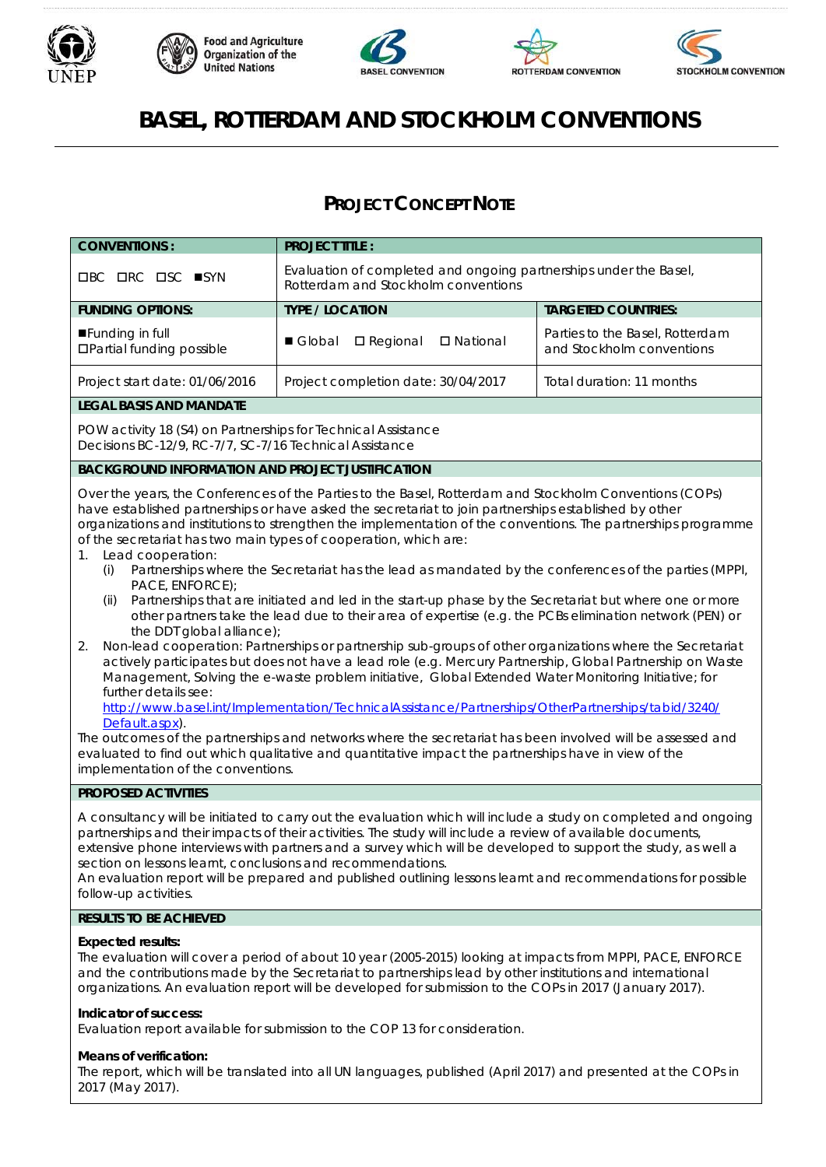









# **BASEL, ROTTERDAM AND STOCKHOLM CONVENTIONS**

# **PROJECT CONCEPT NOTE**

| <b>CONVENTIONS:</b>                                                                                                                                                                                                                                                                                                                                                                                                                                                                                                                                                                                                                                                                                                                                                                                                                                                                                                                                                                                                                                                                                                                                                                                                                                                                                                                                                                                                                                                                                                                                                                | <b>PROJECT TITLE:</b>                                                                                    |                                                              |  |
|------------------------------------------------------------------------------------------------------------------------------------------------------------------------------------------------------------------------------------------------------------------------------------------------------------------------------------------------------------------------------------------------------------------------------------------------------------------------------------------------------------------------------------------------------------------------------------------------------------------------------------------------------------------------------------------------------------------------------------------------------------------------------------------------------------------------------------------------------------------------------------------------------------------------------------------------------------------------------------------------------------------------------------------------------------------------------------------------------------------------------------------------------------------------------------------------------------------------------------------------------------------------------------------------------------------------------------------------------------------------------------------------------------------------------------------------------------------------------------------------------------------------------------------------------------------------------------|----------------------------------------------------------------------------------------------------------|--------------------------------------------------------------|--|
| <b>OBC ORC OSC ■SYN</b>                                                                                                                                                                                                                                                                                                                                                                                                                                                                                                                                                                                                                                                                                                                                                                                                                                                                                                                                                                                                                                                                                                                                                                                                                                                                                                                                                                                                                                                                                                                                                            | Evaluation of completed and ongoing partnerships under the Basel,<br>Rotterdam and Stockholm conventions |                                                              |  |
| <b>FUNDING OPTIONS:</b>                                                                                                                                                                                                                                                                                                                                                                                                                                                                                                                                                                                                                                                                                                                                                                                                                                                                                                                                                                                                                                                                                                                                                                                                                                                                                                                                                                                                                                                                                                                                                            | <b>TYPE / LOCATION</b>                                                                                   | <b>TARGETED COUNTRIES:</b>                                   |  |
| Funding in full<br><b>OPartial funding possible</b>                                                                                                                                                                                                                                                                                                                                                                                                                                                                                                                                                                                                                                                                                                                                                                                                                                                                                                                                                                                                                                                                                                                                                                                                                                                                                                                                                                                                                                                                                                                                | Global<br>$\square$ Regional<br>□ National                                                               | Parties to the Basel, Rotterdam<br>and Stockholm conventions |  |
| Project start date: 01/06/2016                                                                                                                                                                                                                                                                                                                                                                                                                                                                                                                                                                                                                                                                                                                                                                                                                                                                                                                                                                                                                                                                                                                                                                                                                                                                                                                                                                                                                                                                                                                                                     | Project completion date: 30/04/2017                                                                      | Total duration: 11 months                                    |  |
| <b>LEGAL BASIS AND MANDATE</b>                                                                                                                                                                                                                                                                                                                                                                                                                                                                                                                                                                                                                                                                                                                                                                                                                                                                                                                                                                                                                                                                                                                                                                                                                                                                                                                                                                                                                                                                                                                                                     |                                                                                                          |                                                              |  |
| POW activity 18 (S4) on Partnerships for Technical Assistance<br>Decisions BC-12/9, RC-7/7, SC-7/16 Technical Assistance                                                                                                                                                                                                                                                                                                                                                                                                                                                                                                                                                                                                                                                                                                                                                                                                                                                                                                                                                                                                                                                                                                                                                                                                                                                                                                                                                                                                                                                           |                                                                                                          |                                                              |  |
| <b>BACKGROUND INFORMATION AND PROJECT JUSTIFICATION</b>                                                                                                                                                                                                                                                                                                                                                                                                                                                                                                                                                                                                                                                                                                                                                                                                                                                                                                                                                                                                                                                                                                                                                                                                                                                                                                                                                                                                                                                                                                                            |                                                                                                          |                                                              |  |
| Over the years, the Conferences of the Parties to the Basel, Rotterdam and Stockholm Conventions (COPs)<br>have established partnerships or have asked the secretariat to join partnerships established by other<br>organizations and institutions to strengthen the implementation of the conventions. The partnerships programme<br>of the secretariat has two main types of cooperation, which are:<br>Lead cooperation:<br>1.<br>Partnerships where the Secretariat has the lead as mandated by the conferences of the parties (MPPI,<br>(i)<br>PACE, ENFORCE);<br>Partnerships that are initiated and led in the start-up phase by the Secretariat but where one or more<br>(ii)<br>other partners take the lead due to their area of expertise (e.g. the PCBs elimination network (PEN) or<br>the DDT global alliance);<br>Non-lead cooperation: Partnerships or partnership sub-groups of other organizations where the Secretariat<br>2.<br>actively participates but does not have a lead role (e.g. Mercury Partnership, Global Partnership on Waste<br>Management, Solving the e-waste problem initiative, Global Extended Water Monitoring Initiative; for<br>further details see:<br>http://www.basel.int/Implementation/TechnicalAssistance/Partnerships/OtherPartnerships/tabid/3240/<br>Default.aspx).<br>The outcomes of the partnerships and networks where the secretariat has been involved will be assessed and<br>evaluated to find out which qualitative and quantitative impact the partnerships have in view of the<br>implementation of the conventions. |                                                                                                          |                                                              |  |
| PROPOSED ACTIVITIES                                                                                                                                                                                                                                                                                                                                                                                                                                                                                                                                                                                                                                                                                                                                                                                                                                                                                                                                                                                                                                                                                                                                                                                                                                                                                                                                                                                                                                                                                                                                                                |                                                                                                          |                                                              |  |
| A consultancy will be initiated to carry out the evaluation which will include a study on completed and ongoing<br>partnerships and their impacts of their activities. The study will include a review of available documents,<br>extensive phone interviews with partners and a survey which will be developed to support the study, as well a<br>section on lessons learnt, conclusions and recommendations.<br>An evaluation report will be prepared and published outlining lessons learnt and recommendations for possible<br>follow-up activities.                                                                                                                                                                                                                                                                                                                                                                                                                                                                                                                                                                                                                                                                                                                                                                                                                                                                                                                                                                                                                           |                                                                                                          |                                                              |  |
| <b>RESULTS TO BE ACHIEVED</b>                                                                                                                                                                                                                                                                                                                                                                                                                                                                                                                                                                                                                                                                                                                                                                                                                                                                                                                                                                                                                                                                                                                                                                                                                                                                                                                                                                                                                                                                                                                                                      |                                                                                                          |                                                              |  |
| <b>Expected results:</b><br>The evaluation will cover a period of about 10 year (2005-2015) looking at impacts from MPPI, PACE, ENFORCE<br>and the contributions made by the Secretariat to partnerships lead by other institutions and international<br>organizations. An evaluation report will be developed for submission to the COPs in 2017 (January 2017).                                                                                                                                                                                                                                                                                                                                                                                                                                                                                                                                                                                                                                                                                                                                                                                                                                                                                                                                                                                                                                                                                                                                                                                                                  |                                                                                                          |                                                              |  |
| Indicator of success:                                                                                                                                                                                                                                                                                                                                                                                                                                                                                                                                                                                                                                                                                                                                                                                                                                                                                                                                                                                                                                                                                                                                                                                                                                                                                                                                                                                                                                                                                                                                                              |                                                                                                          |                                                              |  |

Evaluation report available for submission to the COP 13 for consideration.

# **Means of verification:**

The report, which will be translated into all UN languages, published (April 2017) and presented at the COPs in 2017 (May 2017).